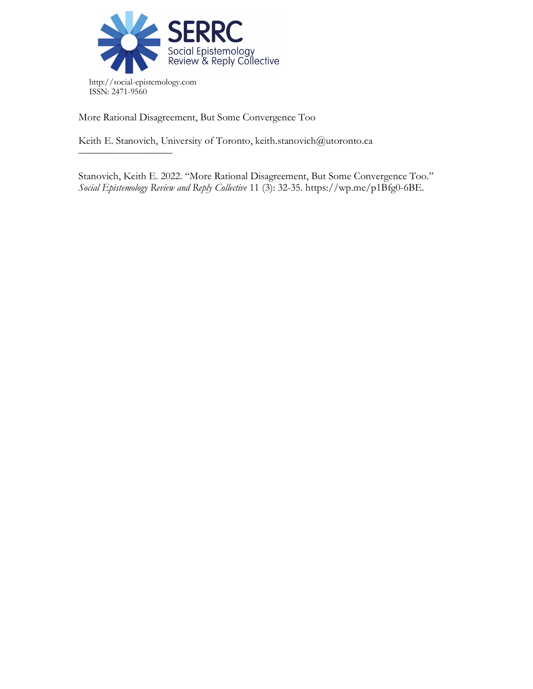

More Rational Disagreement, But Some Convergence Too

––––––––––––––––––

Keith E. Stanovich, University of Toronto, keith.stanovich@utoronto.ca

Stanovich, Keith E. 2022. "More Rational Disagreement, But Some Convergence Too." *Social Epistemology Review and Reply Collective* 11 (3): 32-35. https://wp.me/p1Bfg0-6BE.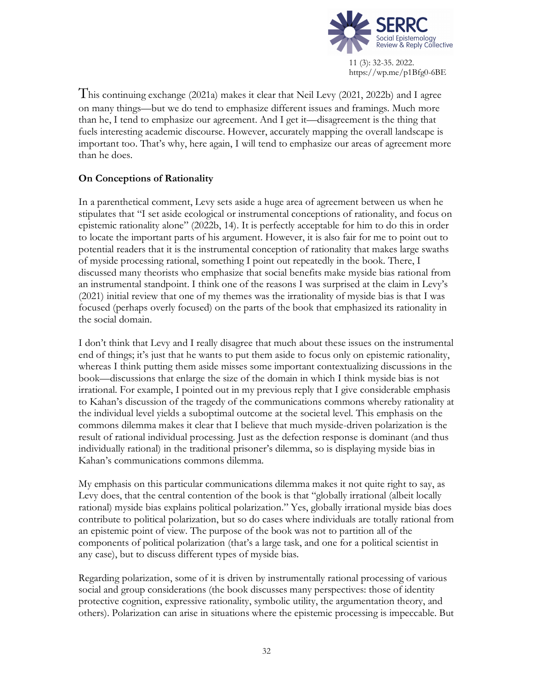

This continuing exchange (2021a) makes it clear that Neil Levy (2021, 2022b) and I agree on many things—but we do tend to emphasize different issues and framings. Much more than he, I tend to emphasize our agreement. And I get it—disagreement is the thing that fuels interesting academic discourse. However, accurately mapping the overall landscape is important too. That's why, here again, I will tend to emphasize our areas of agreement more than he does.

## **On Conceptions of Rationality**

In a parenthetical comment, Levy sets aside a huge area of agreement between us when he stipulates that "I set aside ecological or instrumental conceptions of rationality, and focus on epistemic rationality alone" (2022b, 14). It is perfectly acceptable for him to do this in order to locate the important parts of his argument. However, it is also fair for me to point out to potential readers that it is the instrumental conception of rationality that makes large swaths of myside processing rational, something I point out repeatedly in the book. There, I discussed many theorists who emphasize that social benefits make myside bias rational from an instrumental standpoint. I think one of the reasons I was surprised at the claim in Levy's (2021) initial review that one of my themes was the irrationality of myside bias is that I was focused (perhaps overly focused) on the parts of the book that emphasized its rationality in the social domain.

I don't think that Levy and I really disagree that much about these issues on the instrumental end of things; it's just that he wants to put them aside to focus only on epistemic rationality, whereas I think putting them aside misses some important contextualizing discussions in the book—discussions that enlarge the size of the domain in which I think myside bias is not irrational. For example, I pointed out in my previous reply that I give considerable emphasis to Kahan's discussion of the tragedy of the communications commons whereby rationality at the individual level yields a suboptimal outcome at the societal level. This emphasis on the commons dilemma makes it clear that I believe that much myside-driven polarization is the result of rational individual processing. Just as the defection response is dominant (and thus individually rational) in the traditional prisoner's dilemma, so is displaying myside bias in Kahan's communications commons dilemma.

My emphasis on this particular communications dilemma makes it not quite right to say, as Levy does, that the central contention of the book is that "globally irrational (albeit locally rational) myside bias explains political polarization." Yes, globally irrational myside bias does contribute to political polarization, but so do cases where individuals are totally rational from an epistemic point of view. The purpose of the book was not to partition all of the components of political polarization (that's a large task, and one for a political scientist in any case), but to discuss different types of myside bias.

Regarding polarization, some of it is driven by instrumentally rational processing of various social and group considerations (the book discusses many perspectives: those of identity protective cognition, expressive rationality, symbolic utility, the argumentation theory, and others). Polarization can arise in situations where the epistemic processing is impeccable. But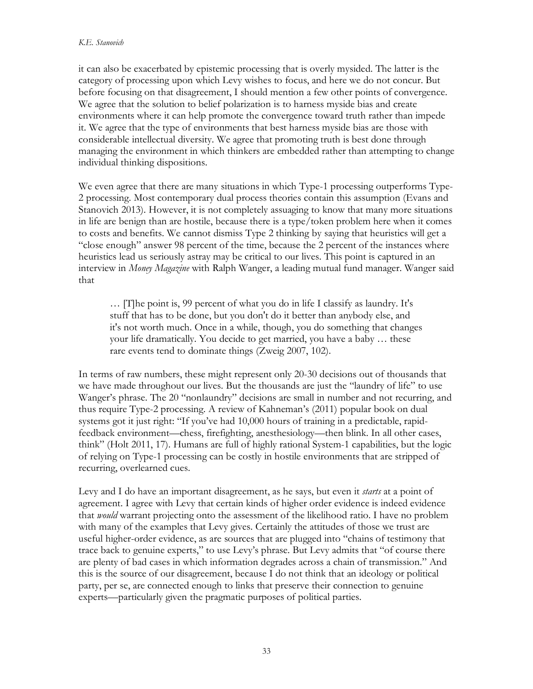it can also be exacerbated by epistemic processing that is overly mysided. The latter is the category of processing upon which Levy wishes to focus, and here we do not concur. But before focusing on that disagreement, I should mention a few other points of convergence. We agree that the solution to belief polarization is to harness myside bias and create environments where it can help promote the convergence toward truth rather than impede it. We agree that the type of environments that best harness myside bias are those with considerable intellectual diversity. We agree that promoting truth is best done through managing the environment in which thinkers are embedded rather than attempting to change individual thinking dispositions.

We even agree that there are many situations in which Type-1 processing outperforms Type-2 processing. Most contemporary dual process theories contain this assumption (Evans and Stanovich 2013). However, it is not completely assuaging to know that many more situations in life are benign than are hostile, because there is a type/token problem here when it comes to costs and benefits. We cannot dismiss Type 2 thinking by saying that heuristics will get a "close enough" answer 98 percent of the time, because the 2 percent of the instances where heuristics lead us seriously astray may be critical to our lives. This point is captured in an interview in *Money Magazine* with Ralph Wanger, a leading mutual fund manager. Wanger said that

… [T]he point is, 99 percent of what you do in life I classify as laundry. It's stuff that has to be done, but you don't do it better than anybody else, and it's not worth much. Once in a while, though, you do something that changes your life dramatically. You decide to get married, you have a baby … these rare events tend to dominate things (Zweig 2007, 102).

In terms of raw numbers, these might represent only 20-30 decisions out of thousands that we have made throughout our lives. But the thousands are just the "laundry of life" to use Wanger's phrase. The 20 "nonlaundry" decisions are small in number and not recurring, and thus require Type-2 processing. A review of Kahneman's (2011) popular book on dual systems got it just right: "If you've had 10,000 hours of training in a predictable, rapidfeedback environment—chess, firefighting, anesthesiology—then blink. In all other cases, think" (Holt 2011, 17). Humans are full of highly rational System-1 capabilities, but the logic of relying on Type-1 processing can be costly in hostile environments that are stripped of recurring, overlearned cues.

Levy and I do have an important disagreement, as he says, but even it *starts* at a point of agreement. I agree with Levy that certain kinds of higher order evidence is indeed evidence that *would* warrant projecting onto the assessment of the likelihood ratio. I have no problem with many of the examples that Levy gives. Certainly the attitudes of those we trust are useful higher-order evidence, as are sources that are plugged into "chains of testimony that trace back to genuine experts," to use Levy's phrase. But Levy admits that "of course there are plenty of bad cases in which information degrades across a chain of transmission." And this is the source of our disagreement, because I do not think that an ideology or political party, per se, are connected enough to links that preserve their connection to genuine experts—particularly given the pragmatic purposes of political parties.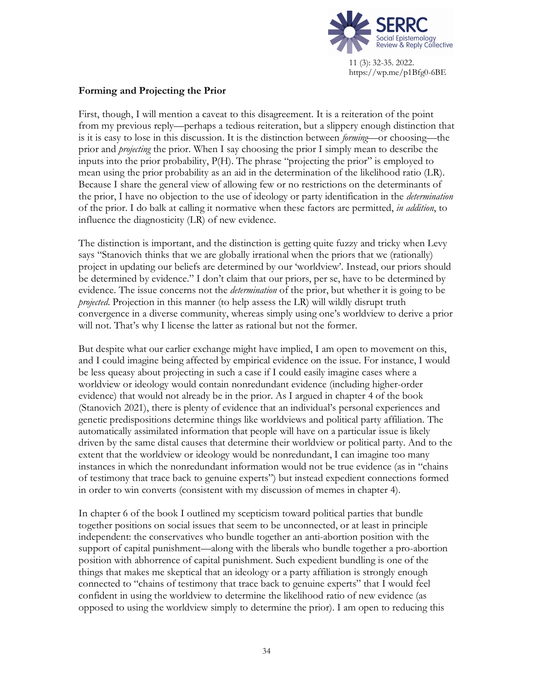

## **Forming and Projecting the Prior**

First, though, I will mention a caveat to this disagreement. It is a reiteration of the point from my previous reply—perhaps a tedious reiteration, but a slippery enough distinction that is it is easy to lose in this discussion. It is the distinction between *forming*—or choosing—the prior and *projecting* the prior. When I say choosing the prior I simply mean to describe the inputs into the prior probability, P(H). The phrase "projecting the prior" is employed to mean using the prior probability as an aid in the determination of the likelihood ratio (LR). Because I share the general view of allowing few or no restrictions on the determinants of the prior, I have no objection to the use of ideology or party identification in the *determination* of the prior. I do balk at calling it normative when these factors are permitted, *in addition*, to influence the diagnosticity (LR) of new evidence.

The distinction is important, and the distinction is getting quite fuzzy and tricky when Levy says "Stanovich thinks that we are globally irrational when the priors that we (rationally) project in updating our beliefs are determined by our 'worldview'. Instead, our priors should be determined by evidence." I don't claim that our priors, per se, have to be determined by evidence. The issue concerns not the *determination* of the prior, but whether it is going to be *projected*. Projection in this manner (to help assess the LR) will wildly disrupt truth convergence in a diverse community, whereas simply using one's worldview to derive a prior will not. That's why I license the latter as rational but not the former.

But despite what our earlier exchange might have implied, I am open to movement on this, and I could imagine being affected by empirical evidence on the issue. For instance, I would be less queasy about projecting in such a case if I could easily imagine cases where a worldview or ideology would contain nonredundant evidence (including higher-order evidence) that would not already be in the prior. As I argued in chapter 4 of the book (Stanovich 2021), there is plenty of evidence that an individual's personal experiences and genetic predispositions determine things like worldviews and political party affiliation. The automatically assimilated information that people will have on a particular issue is likely driven by the same distal causes that determine their worldview or political party. And to the extent that the worldview or ideology would be nonredundant, I can imagine too many instances in which the nonredundant information would not be true evidence (as in "chains of testimony that trace back to genuine experts") but instead expedient connections formed in order to win converts (consistent with my discussion of memes in chapter 4).

In chapter 6 of the book I outlined my scepticism toward political parties that bundle together positions on social issues that seem to be unconnected, or at least in principle independent: the conservatives who bundle together an anti-abortion position with the support of capital punishment—along with the liberals who bundle together a pro-abortion position with abhorrence of capital punishment. Such expedient bundling is one of the things that makes me skeptical that an ideology or a party affiliation is strongly enough connected to "chains of testimony that trace back to genuine experts" that I would feel confident in using the worldview to determine the likelihood ratio of new evidence (as opposed to using the worldview simply to determine the prior). I am open to reducing this